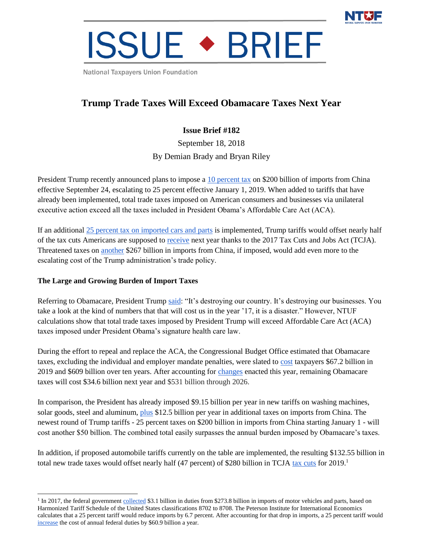

# **ISSUE • BRIEF**

National Taxpayers Union Foundation

## **Trump Trade Taxes Will Exceed Obamacare Taxes Next Year**

### **Issue Brief #182**

September 18, 2018 By Demian Brady and Bryan Riley

President Trump recently announced plans to impose a [10 percent tax](https://ustr.gov/about-us/policy-offices/press-office/press-releases/2018/september/ustr-finalizes-tariffs-200) on \$200 billion of imports from China effective September 24, escalating to 25 percent effective January 1, 2019. When added to tariffs that have already been implemented, total trade taxes imposed on American consumers and businesses via unilateral executive action exceed all the taxes included in President Obama's Affordable Care Act (ACA).

If an additional [25 percent tax on imported cars and parts](https://www.politico.com/story/2018/05/23/trump-tariffs-car-imports-national-security-567581) is implemented, Trump tariffs would offset nearly half of the tax cuts Americans are supposed to [receive](https://www.jct.gov/publications.html?func=startdown&id=5053) next year thanks to the 2017 Tax Cuts and Jobs Act (TCJA). Threatened taxes on [another](https://www.wsj.com/articles/trump-says-hes-preparing-tariffs-on-further-267-billion-in-chinese-imports-1536340041?mod=asia_home&yptr=yahoo) \$267 billion in imports from China, if imposed, would add even more to the escalating cost of the Trump administration's trade policy.

#### **The Large and Growing Burden of Import Taxes**

 $\overline{a}$ 

Referring to Obamacare, President Trump [said:](http://www.ontheissues.org/Celeb/Donald_Trump_Health_Care.htm) "It's destroying our country. It's destroying our businesses. You take a look at the kind of numbers that that will cost us in the year '17, it is a disaster." However, NTUF calculations show that total trade taxes imposed by President Trump will exceed Affordable Care Act (ACA) taxes imposed under President Obama's signature health care law.

During the effort to repeal and replace the ACA, the Congressional Budget Office estimated that Obamacare taxes, excluding the individual and employer mandate penalties, were slated to [cost](https://www.cbo.gov/system/files?file=115th-congress-2017-2018/costestimate/52939-hr1628amendment.pdf) taxpayers \$67.2 billion in 2019 and \$609 billion over ten years. After accounting for [changes](https://www.jct.gov/publications.html?func=startdown&id=5058) enacted this year, remaining Obamacare taxes will cost \$34.6 billion next year and \$531 billion through 2026.

In comparison, the President has already imposed \$9.15 billion per year in new tariffs on washing machines, solar goods, steel and aluminum, [plus](https://www.cnn.com/2018/08/07/politics/us-china-tariff-list/index.html) \$12.5 billion per year in additional taxes on imports from China. The newest round of Trump tariffs - 25 percent taxes on \$200 billion in imports from China starting January 1 - will cost another \$50 billion. The combined total easily surpasses the annual burden imposed by Obamacare's taxes.

In addition, if proposed automobile tariffs currently on the table are implemented, the resulting \$132.55 billion in total new trade taxes would offset nearly half (47 percent) of \$280 billion in TCJA [tax cuts](https://www.jct.gov/publications.html?func=startdown&id=5053) for 2019.<sup>1</sup>

<sup>&</sup>lt;sup>1</sup> In 2017, the federal government [collected](https://dataweb.usitc.gov/) \$3.1 billion in duties from \$273.8 billion in imports of motor vehicles and parts, based on Harmonized Tariff Schedule of the United States classifications 8702 to 8708. The Peterson Institute for International Economics calculates that a 25 percent tariff would reduce imports by 6.7 percent. After accounting for that drop in imports, a 25 percent tariff would [increase](https://www.ntu.org/foundation/detail/trumps-car-tax-would-boost-average-new-car-and-truck-prices-by-1262-to-5809) the cost of annual federal duties by \$60.9 billion a year.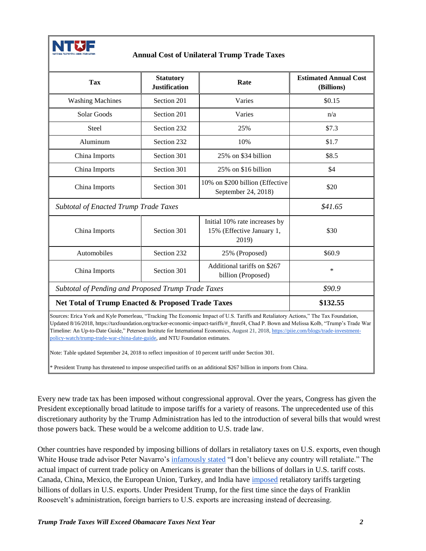

#### **Annual Cost of Unilateral Trump Trade Taxes**

| <b>Tax</b>                                                                                                                         | <b>Statutory</b><br><b>Justification</b> | Rate                                                                | <b>Estimated Annual Cost</b><br>(Billions) |
|------------------------------------------------------------------------------------------------------------------------------------|------------------------------------------|---------------------------------------------------------------------|--------------------------------------------|
| <b>Washing Machines</b>                                                                                                            | Section 201                              | Varies                                                              | \$0.15                                     |
| Solar Goods                                                                                                                        | Section 201                              | Varies                                                              | n/a                                        |
| <b>Steel</b>                                                                                                                       | Section 232                              | 25%                                                                 | \$7.3                                      |
| Aluminum                                                                                                                           | Section 232                              | 10%                                                                 | \$1.7                                      |
| China Imports                                                                                                                      | Section 301                              | 25% on \$34 billion                                                 | \$8.5                                      |
| China Imports                                                                                                                      | Section 301                              | 25% on \$16 billion                                                 | \$4                                        |
| China Imports                                                                                                                      | Section 301                              | 10% on \$200 billion (Effective<br>September 24, 2018)              | \$20                                       |
| <b>Subtotal of Enacted Trump Trade Taxes</b>                                                                                       |                                          |                                                                     | \$41.65                                    |
| China Imports                                                                                                                      | Section 301                              | Initial 10% rate increases by<br>15% (Effective January 1,<br>2019) | \$30                                       |
| Automobiles                                                                                                                        | Section 232                              | 25% (Proposed)                                                      | \$60.9                                     |
| China Imports                                                                                                                      | Section 301                              | Additional tariffs on \$267<br>billion (Proposed)                   | *                                          |
| Subtotal of Pending and Proposed Trump Trade Taxes                                                                                 |                                          |                                                                     | \$90.9                                     |
| Net Total of Trump Enacted & Proposed Trade Taxes                                                                                  |                                          |                                                                     | \$132.55                                   |
| Courses: Frica Vork and Kyle Domerleau. "Tracking The Economic Impact of U.S. Tariffs and Petaliatory Actions." The Tax Foundation |                                          |                                                                     |                                            |

ica York and Kyle Pomerleau, "Tracking The Economic Impact of U.S. Tariffs and Retaliatory Actions," The Tax Foundation, Updated 8/16/2018, https://taxfoundation.org/tracker-economic-impact-tariffs/#\_ftnref4, Chad P. Bown and Melissa Kolb, "Trump's Trade War Timeline: An Up-to-Date Guide," Peterson Institute for International Economics, August 21, 2018, [https://piie.com/blogs/trade-investment](https://piie.com/blogs/trade-investment-policy-watch/trump-trade-war-china-date-guide)[policy-watch/trump-trade-war-china-date-guide,](https://piie.com/blogs/trade-investment-policy-watch/trump-trade-war-china-date-guide) and NTU Foundation estimates.

Note: Table updated September 24, 2018 to reflect imposition of 10 percent tariff under Section 301.

\* President Trump has threatened to impose unspecified tariffs on an additional \$267 billion in imports from China.

Every new trade tax has been imposed without congressional approval. Over the years, Congress has given the President exceptionally broad latitude to impose tariffs for a variety of reasons. The unprecedented use of this discretionary authority by the Trump Administration has led to the introduction of several bills that would wrest those powers back. These would be a welcome addition to U.S. trade law.

Other countries have responded by imposing billions of dollars in retaliatory taxes on U.S. exports, even though White House trade advisor Peter Navarro's [infamously stated](http://video.foxbusiness.com/v/5743778657001/) "I don't believe any country will retaliate." The actual impact of current trade policy on Americans is greater than the billions of dollars in U.S. tariff costs. Canada, China, Mexico, the European Union, Turkey, and India have [imposed](https://www.marketwatch.com/story/trade-war-tracker-here-are-the-new-levies-imposed-and-threatened-2018-06-22) retaliatory tariffs targeting billions of dollars in U.S. exports. Under President Trump, for the first time since the days of Franklin Roosevelt's administration, foreign barriers to U.S. exports are increasing instead of decreasing.